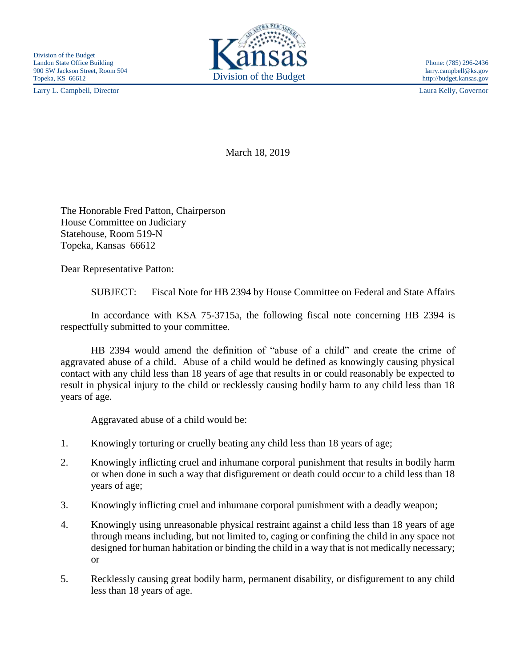Larry L. Campbell, Director Laura Kelly, Governor



http://budget.kansas.gov

March 18, 2019

The Honorable Fred Patton, Chairperson House Committee on Judiciary Statehouse, Room 519-N Topeka, Kansas 66612

Dear Representative Patton:

SUBJECT: Fiscal Note for HB 2394 by House Committee on Federal and State Affairs

In accordance with KSA 75-3715a, the following fiscal note concerning HB 2394 is respectfully submitted to your committee.

HB 2394 would amend the definition of "abuse of a child" and create the crime of aggravated abuse of a child. Abuse of a child would be defined as knowingly causing physical contact with any child less than 18 years of age that results in or could reasonably be expected to result in physical injury to the child or recklessly causing bodily harm to any child less than 18 years of age.

Aggravated abuse of a child would be:

- 1. Knowingly torturing or cruelly beating any child less than 18 years of age;
- 2. Knowingly inflicting cruel and inhumane corporal punishment that results in bodily harm or when done in such a way that disfigurement or death could occur to a child less than 18 years of age;
- 3. Knowingly inflicting cruel and inhumane corporal punishment with a deadly weapon;
- 4. Knowingly using unreasonable physical restraint against a child less than 18 years of age through means including, but not limited to, caging or confining the child in any space not designed for human habitation or binding the child in a way that is not medically necessary; or
- 5. Recklessly causing great bodily harm, permanent disability, or disfigurement to any child less than 18 years of age.